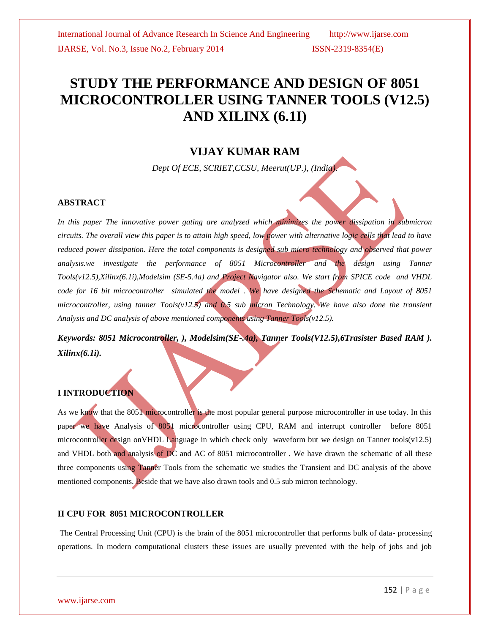# **STUDY THE PERFORMANCE AND DESIGN OF 8051 MICROCONTROLLER USING TANNER TOOLS (V12.5) AND XILINX (6.1I)**

# **VIJAY KUMAR RAM**

*Dept Of ECE, SCRIET,CCSU, Meerut(UP.), (India).*

#### **ABSTRACT**

In this paper The innovative power gating are analyzed which minimizes the power dissipation in submicron *circuits. The overall view this paper is to attain high speed, low power with alternative logic cells that lead to have reduced power dissipation. Here the total components is designed sub micro technology and observed that power analysis.we investigate the performance of 8051 Microcontroller and the design using Tanner Tools(v12.5),Xilinx(6.1i),Modelsim (SE-5.4a) and Project Navigator also. We start from SPICE code and VHDL code for 16 bit microcontroller simulated the model . We have designed the Schematic and Layout of 8051 microcontroller, using tanner Tools(v12.5) and 0.5 sub micron Technology. We have also done the transient Analysis and DC analysis of above mentioned components using Tanner Tools(v12.5).*

*Keywords: 8051 Microcontroller, ), Modelsim(SE-.4a), Tanner Tools(V12.5),6Trasister Based RAM ). Xilinx(6.1i).* 

### **I INTRODUCTION**

As we know that the 8051 microcontroller is the most popular general purpose microcontroller in use today. In this paper we have Analysis of 8051 microcontroller using CPU, RAM and interrupt controller before 8051 microcontroller design on VHDL Language in which check only waveform but we design on Tanner tools(v12.5) and VHDL both and analysis of DC and AC of 8051 microcontroller. We have drawn the schematic of all these three components using Tanner Tools from the schematic we studies the Transient and DC analysis of the above mentioned components. Beside that we have also drawn tools and 0.5 sub micron technology.

#### **II CPU FOR 8051 MICROCONTROLLER**

The Central Processing Unit (CPU) is the brain of the 8051 microcontroller that performs bulk of data- processing operations. In modern computational clusters these issues are usually prevented with the help of jobs and job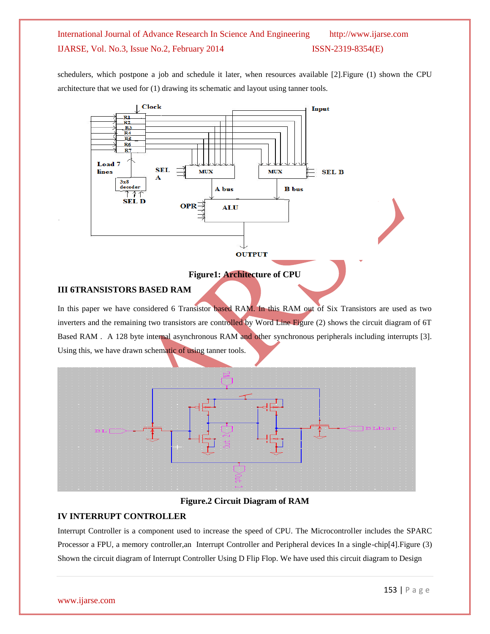schedulers, which postpone a job and schedule it later, when resources available [2].Figure (1) shown the CPU architecture that we used for (1) drawing its schematic and layout using tanner tools.



#### **Figure1: Architecture of CPU**

#### **III 6TRANSISTORS BASED RAM**

In this paper we have considered 6 Transistor based RAM. In this RAM out of Six Transistors are used as two inverters and the remaining two transistors are controlled by Word Line Figure (2) shows the circuit diagram of 6T Based RAM . A 128 byte internal asynchronous RAM and other synchronous peripherals including interrupts [3]. Using this, we have drawn schematic of using tanner tools.



#### **Figure.2 Circuit Diagram of RAM**

#### **IV INTERRUPT CONTROLLER**

Interrupt Controller is a component used to increase the speed of CPU. The Microcontroller includes the SPARC Processor a FPU, a memory controller,an Interrupt Controller and Peripheral devices In a single-chip[4].Figure (3) Shown the circuit diagram of Interrupt Controller Using D Flip Flop. We have used this circuit diagram to Design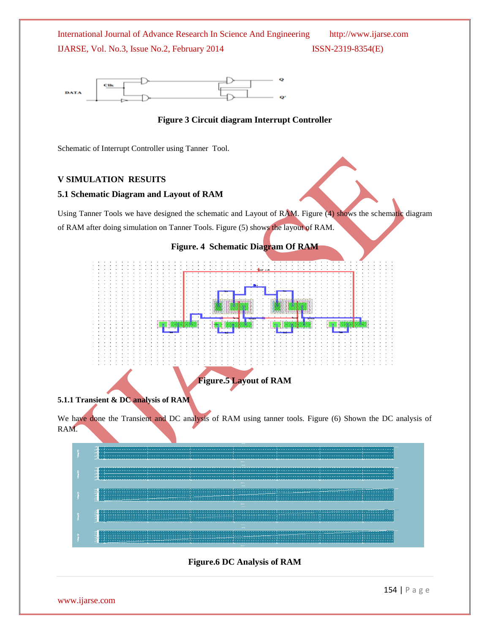

#### **Figure 3 Circuit diagram Interrupt Controller**

Schematic of Interrupt Controller using Tanner Tool.

#### **V SIMULATION RESUITS**

#### **5.1 Schematic Diagram and Layout of RAM**

Using Tanner Tools we have designed the schematic and Layout of RAM. Figure (4) shows the schematic diagram of RAM after doing simulation on Tanner Tools. Figure (5) shows the layout of RAM.



#### **5.1.1 Transient & DC analysis of RAM**

We have done the Transient and DC analysis of RAM using tanner tools. Figure (6) Shown the DC analysis of RAM.



#### **Figure.6 DC Analysis of RAM**

www.ijarse.com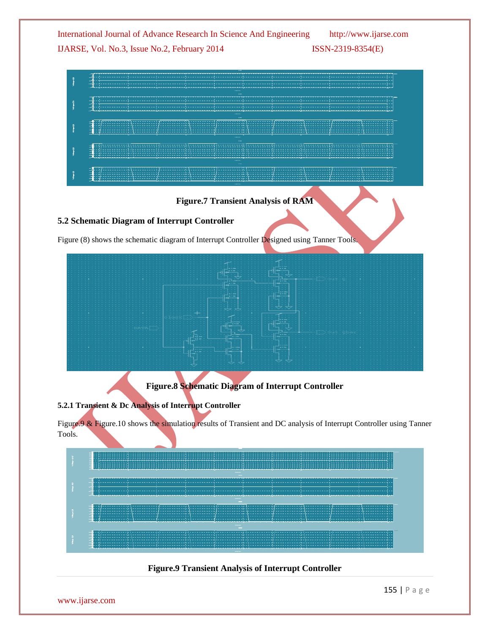



| 5.2.1 Transient & Dc Analysis of Interrupt Controller |  |  |
|-------------------------------------------------------|--|--|

Figure.9 & Figure.10 shows the simulation results of Transient and DC analysis of Interrupt Controller using Tanner Tools.

**Figure.8 Schematic Diagram of Interrupt Controller**



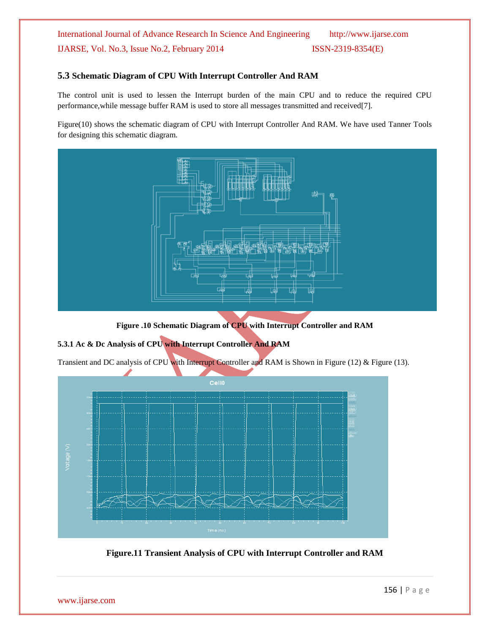#### **5.3 Schematic Diagram of CPU With Interrupt Controller And RAM**

The control unit is used to lessen the Interrupt burden of the main CPU and to reduce the required CPU performance,while message buffer RAM is used to store all messages transmitted and received[7].

Figure(10) shows the schematic diagram of CPU with Interrupt Controller And RAM. We have used Tanner Tools for designing this schematic diagram.



**Figure .10 Schematic Diagram of CPU with Interrupt Controller and RAM**

### **5.3.1 Ac & Dc Analysis of CPU with Interrupt Controller And RAM**

Transient and DC analysis of CPU with Interrupt Controller and RAM is Shown in Figure (12) & Figure (13).



**Figure.11 Transient Analysis of CPU with Interrupt Controller and RAM**

www.ijarse.com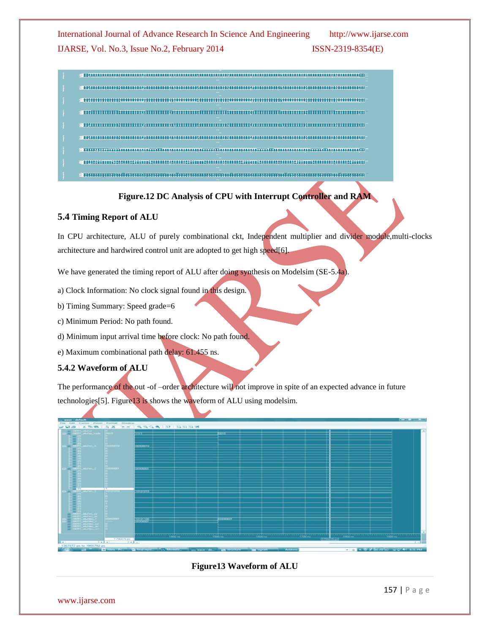s manualmasining antiquities in the manual community and construct and construction

- $\begin{minipage}{0.9\linewidth} \textbf{1} & \textbf{1} & \textbf{1} & \textbf{1} & \textbf{1} & \textbf{1} & \textbf{1} & \textbf{1} & \textbf{1} & \textbf{1} & \textbf{1} & \textbf{1} & \textbf{1} & \textbf{1} & \textbf{1} & \textbf{1} & \textbf{1} & \textbf{1} & \textbf{1} & \textbf{1} & \textbf{1} & \textbf{1} & \textbf{1} & \textbf{1} & \textbf{1} & \textbf{1} & \textbf{1} & \textbf{1} & \textbf{1} & \textbf{$
- 
- ENGING TELEVISION IN THE ENGINEERING OF THE ENGINEERING OF THE ENGINEERING STATES OF THE ENGINEERING STATES OF
- $\label{prop:main}$  recommensurated recommendation of the commentation of the commentation of the commentation of the commentation of the commentation of the commentation of the commentation of the commentation of the commentatio
- $\label{prop:main} \begin{minipage}[t]{0.9\textwidth} \centering \begin{minipage}[t]{0.9\textwidth} \centering \centering \end{minipage} \begin{minipage}[t]{0.9\textwidth} \centering \begin{minipage}[t]{0.9\textwidth} \centering \centering \end{minipage} \end{minipage} \begin{minipage}[t]{0.9\textwidth} \centering \begin{minipage}[t]{0.9\textwidth} \centering \centering \end{minipage} \end{minipage} \begin{minipage}[t]{0.9\textwidth} \centering \begin{minipage}[t]{0.9\textwidth} \centering \centering \end{minipage} \end{minipage}$
- **ENUMERATORISME INTERNATIONAL ENERGY PRODUCTION CONTINUES.** 
	- $\begin{minipage}{0.9\linewidth} \textbf{1} \textbf{1} \textbf{1} \textbf{1} \textbf{1} \textbf{1} \textbf{1} \textbf{1} \textbf{1} \textbf{1} \textbf{1} \textbf{1} \textbf{1} \textbf{1} \textbf{1} \textbf{1} \textbf{1} \textbf{1} \textbf{1} \textbf{1} \textbf{1} \textbf{1} \textbf{1} \textbf{1} \textbf{1} \textbf{1} \textbf{1} \textbf{1} \textbf{1} \textbf{1} \textbf{1} \textbf{1} \textbf{1} \textbf{1} \textbf$

# **Figure.12 DC Analysis of CPU with Interrupt Controller and RAM**

### **5.4 Timing Report of ALU**

In CPU architecture, ALU of purely combinational ckt, Independent multiplier and divider module,multi-clocks architecture and hardwired control unit are adopted to get high speed[6].

We have generated the timing report of ALU after doing synthesis on Modelsim (SE-5.4a).

a) Clock Information: No clock signal found in this design.

b) Timing Summary: Speed grade=6

c) Minimum Period: No path found.

d) Minimum input arrival time before clock: No path found.

e) Maximum combinational path delay: 61.455 ns.

# **5.4.2 Waveform of ALU**

The performance of the out -of –order architecture will not improve in spite of an expected advance in future technologies[5]. Figure13 is shows the waveform of ALU using modelsim.



# **Figure13 Waveform of ALU**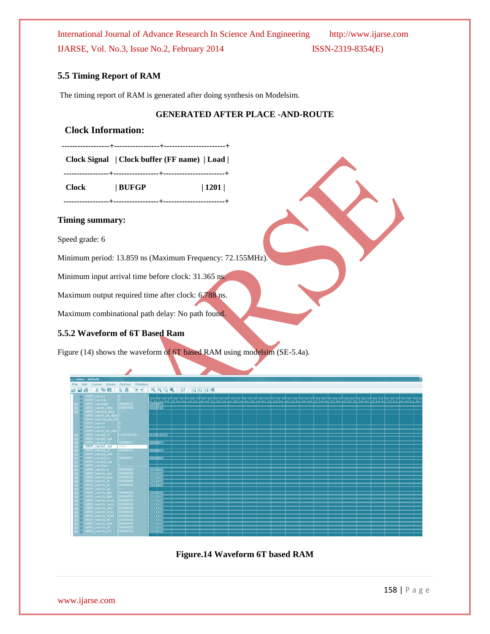#### **5.5 Timing Report of RAM**

The timing report of RAM is generated after doing synthesis on Modelsim.

#### **GENERATED AFTER PLACE -AND-ROUTE**

#### **Clock Information:**

 **------------------+-----------------+-----------------------+**

 **Clock Signal | Clock buffer (FF name) | Load |**

 **-----------------+-----------------+-----------------------+**

 **Clock | BUFGP | 1201 |**

 **-----------------+-----------------+-----------------------+**

#### **Timing summary:**

Speed grade: 6

Minimum period: 13.859 ns (Maximum Frequency: 72.155MHz).

Minimum input arrival time before clock: 31.365 ns.

Maximum output required time after clock: 6.788 ns.

Maximum combinational path delay: No path found.

#### **5.5.2 Waveform of 6T Based Ram**

Figure (14) shows the waveform of 6T based RAM using modelsim (SE-5.4a).

| wave - default |              |                               |                   |                          |                   |                                                                                                                                                                                                                                                                                                                                                                                                                                                                 |  |                 |  |  |  |  |  |  |  |  |  |  |  |  |  |  |  |  |
|----------------|--------------|-------------------------------|-------------------|--------------------------|-------------------|-----------------------------------------------------------------------------------------------------------------------------------------------------------------------------------------------------------------------------------------------------------------------------------------------------------------------------------------------------------------------------------------------------------------------------------------------------------------|--|-----------------|--|--|--|--|--|--|--|--|--|--|--|--|--|--|--|--|
|                |              |                               |                   |                          |                   | File Edit Cursor Zoom Format Window                                                                                                                                                                                                                                                                                                                                                                                                                             |  |                 |  |  |  |  |  |  |  |  |  |  |  |  |  |  |  |  |
|                | c Da         |                               |                   |                          |                   |                                                                                                                                                                                                                                                                                                                                                                                                                                                                 |  |                 |  |  |  |  |  |  |  |  |  |  |  |  |  |  |  |  |
|                |              |                               |                   |                          |                   | $\rightarrow$ 1808 $\rightarrow$ 1808 $\rightarrow$ 180 $\rightarrow$ 180 $\rightarrow$ 180 $\rightarrow$ 180 $\rightarrow$ 180 $\rightarrow$ 180 $\rightarrow$ 180 $\rightarrow$ 180 $\rightarrow$ 180 $\rightarrow$ 180 $\rightarrow$ 180 $\rightarrow$ 180 $\rightarrow$ 180 $\rightarrow$ 180 $\rightarrow$ 180 $\rightarrow$ 180 $\rightarrow$ 180 $\rightarrow$ 180 $\rightarrow$ 180 $\rightarrow$ 180 $\rightarrow$ 180 $\rightarrow$ 180 $\rightarrow$ |  |                 |  |  |  |  |  |  |  |  |  |  |  |  |  |  |  |  |
|                |              | $\blacksquare$ /i8051_ram/rst |                   |                          |                   |                                                                                                                                                                                                                                                                                                                                                                                                                                                                 |  |                 |  |  |  |  |  |  |  |  |  |  |  |  |  |  |  |  |
|                |              | 78051_ram/clk                 |                   |                          |                   |                                                                                                                                                                                                                                                                                                                                                                                                                                                                 |  |                 |  |  |  |  |  |  |  |  |  |  |  |  |  |  |  |  |
|                |              | El- /i8051_ram/addr           |                   |                          | 00000010          |                                                                                                                                                                                                                                                                                                                                                                                                                                                                 |  | 00000010        |  |  |  |  |  |  |  |  |  |  |  |  |  |  |  |  |
|                |              |                               |                   | File: /i8051_ram/in_data | 00000100          |                                                                                                                                                                                                                                                                                                                                                                                                                                                                 |  | 00000100        |  |  |  |  |  |  |  |  |  |  |  |  |  |  |  |  |
|                |              |                               |                   | /i8051_ram/out_data      |                   |                                                                                                                                                                                                                                                                                                                                                                                                                                                                 |  |                 |  |  |  |  |  |  |  |  |  |  |  |  |  |  |  |  |
|                |              |                               |                   | /i8051_ram/in_bit_data   |                   |                                                                                                                                                                                                                                                                                                                                                                                                                                                                 |  |                 |  |  |  |  |  |  |  |  |  |  |  |  |  |  |  |  |
|                |              |                               |                   | /i8051_ram/out_bit_d     |                   |                                                                                                                                                                                                                                                                                                                                                                                                                                                                 |  |                 |  |  |  |  |  |  |  |  |  |  |  |  |  |  |  |  |
|                |              | 78051 ram/rd<br>78051 ram/wr  |                   |                          |                   |                                                                                                                                                                                                                                                                                                                                                                                                                                                                 |  |                 |  |  |  |  |  |  |  |  |  |  |  |  |  |  |  |  |
|                |              |                               |                   | /i8051 ram/is bit addr   |                   |                                                                                                                                                                                                                                                                                                                                                                                                                                                                 |  |                 |  |  |  |  |  |  |  |  |  |  |  |  |  |  |  |  |
|                |              | File: //8051_ram/p0_in        |                   |                          | <b>UUUUUUUU</b>   |                                                                                                                                                                                                                                                                                                                                                                                                                                                                 |  | <b>DOODOOOO</b> |  |  |  |  |  |  |  |  |  |  |  |  |  |  |  |  |
|                | $F + T$      |                               |                   | /i8051_ram/p0_out        |                   |                                                                                                                                                                                                                                                                                                                                                                                                                                                                 |  |                 |  |  |  |  |  |  |  |  |  |  |  |  |  |  |  |  |
|                |              | El- /i8051_ram/p1_in          |                   |                          | 00000011          |                                                                                                                                                                                                                                                                                                                                                                                                                                                                 |  | 00000011        |  |  |  |  |  |  |  |  |  |  |  |  |  |  |  |  |
|                |              |                               |                   | //8051 ram/p1 out        |                   |                                                                                                                                                                                                                                                                                                                                                                                                                                                                 |  |                 |  |  |  |  |  |  |  |  |  |  |  |  |  |  |  |  |
|                |              | 78051 ram/p2 in               |                   |                          | 00000010          |                                                                                                                                                                                                                                                                                                                                                                                                                                                                 |  | 00000010        |  |  |  |  |  |  |  |  |  |  |  |  |  |  |  |  |
|                | $\Box$       | /i8051_ram/p2_out             |                   |                          |                   |                                                                                                                                                                                                                                                                                                                                                                                                                                                                 |  |                 |  |  |  |  |  |  |  |  |  |  |  |  |  |  |  |  |
|                | o-i          | //8051_ram/p3_in              |                   |                          | 10000001          |                                                                                                                                                                                                                                                                                                                                                                                                                                                                 |  | 00000001        |  |  |  |  |  |  |  |  |  |  |  |  |  |  |  |  |
|                | $F -$        | /i8051_ram/p3_out             |                   |                          |                   |                                                                                                                                                                                                                                                                                                                                                                                                                                                                 |  |                 |  |  |  |  |  |  |  |  |  |  |  |  |  |  |  |  |
|                |              |                               | /18051_ram/iram   |                          |                   |                                                                                                                                                                                                                                                                                                                                                                                                                                                                 |  |                 |  |  |  |  |  |  |  |  |  |  |  |  |  |  |  |  |
|                | $\mathbf{B}$ | /i8051_ram/sfr_b              |                   |                          | 00000000          |                                                                                                                                                                                                                                                                                                                                                                                                                                                                 |  | 00000000        |  |  |  |  |  |  |  |  |  |  |  |  |  |  |  |  |
|                | $\mathbf{B}$ |                               |                   | /i8051_ram/sfr_acc       | 0000000           |                                                                                                                                                                                                                                                                                                                                                                                                                                                                 |  | 00000000        |  |  |  |  |  |  |  |  |  |  |  |  |  |  |  |  |
|                | $\mathbf{p}$ |                               |                   | /i8051_ram/sfr_psw       | 0000000           |                                                                                                                                                                                                                                                                                                                                                                                                                                                                 |  | 00000000        |  |  |  |  |  |  |  |  |  |  |  |  |  |  |  |  |
|                |              | /i8051_ram/sfr_ie             |                   |                          | mnnnnn<br>0000000 |                                                                                                                                                                                                                                                                                                                                                                                                                                                                 |  | 00000000        |  |  |  |  |  |  |  |  |  |  |  |  |  |  |  |  |
|                | $\mathbf{D}$ | /i8051_ram/sfr_sp             | /i8051_ram/sfr_ip |                          |                   |                                                                                                                                                                                                                                                                                                                                                                                                                                                                 |  | 00000000        |  |  |  |  |  |  |  |  |  |  |  |  |  |  |  |  |
|                | $\mathbf{B}$ | /i8051_ram/sfr_dpl            |                   |                          | mmmm              |                                                                                                                                                                                                                                                                                                                                                                                                                                                                 |  | 00000000        |  |  |  |  |  |  |  |  |  |  |  |  |  |  |  |  |
|                | $\mathbf{p}$ |                               |                   | /i8051_ram/sfr_dph       | mmmm              |                                                                                                                                                                                                                                                                                                                                                                                                                                                                 |  | 00000000        |  |  |  |  |  |  |  |  |  |  |  |  |  |  |  |  |
|                |              |                               |                   | /i8051_ram/sfr_pcon      | 0000000           |                                                                                                                                                                                                                                                                                                                                                                                                                                                                 |  | 00000000        |  |  |  |  |  |  |  |  |  |  |  |  |  |  |  |  |
|                |              |                               |                   | /i8051_ram/sfr_scon      | monono            |                                                                                                                                                                                                                                                                                                                                                                                                                                                                 |  | 00000000        |  |  |  |  |  |  |  |  |  |  |  |  |  |  |  |  |
|                | $F - T$      |                               |                   | /i8051_ram/sfr_sbuf      | 0000000           |                                                                                                                                                                                                                                                                                                                                                                                                                                                                 |  | 00000000        |  |  |  |  |  |  |  |  |  |  |  |  |  |  |  |  |
|                | $\mathbf{B}$ |                               |                   | /i8051_ram/sfr_tcon      | monono.           |                                                                                                                                                                                                                                                                                                                                                                                                                                                                 |  | 00000000        |  |  |  |  |  |  |  |  |  |  |  |  |  |  |  |  |
|                | $\mathbf{F}$ |                               |                   | /i8051_ram/sfr_tmod      | 10000000          |                                                                                                                                                                                                                                                                                                                                                                                                                                                                 |  | 00000000        |  |  |  |  |  |  |  |  |  |  |  |  |  |  |  |  |
|                |              | /i8051_ram/sfr_tl0            |                   |                          | 00000000          |                                                                                                                                                                                                                                                                                                                                                                                                                                                                 |  | 00000000        |  |  |  |  |  |  |  |  |  |  |  |  |  |  |  |  |
|                |              |                               |                   | /i8051_ram/sfr_th0       | mmmm              |                                                                                                                                                                                                                                                                                                                                                                                                                                                                 |  | 00000000        |  |  |  |  |  |  |  |  |  |  |  |  |  |  |  |  |
|                |              | ED- //8051_ram/sfr_tf1        |                   |                          | 0000000           |                                                                                                                                                                                                                                                                                                                                                                                                                                                                 |  | 00000000        |  |  |  |  |  |  |  |  |  |  |  |  |  |  |  |  |
|                |              | @- /8051_ram/sfr_th1          |                   |                          | monono            |                                                                                                                                                                                                                                                                                                                                                                                                                                                                 |  | 00000000        |  |  |  |  |  |  |  |  |  |  |  |  |  |  |  |  |
|                |              |                               |                   |                          |                   |                                                                                                                                                                                                                                                                                                                                                                                                                                                                 |  |                 |  |  |  |  |  |  |  |  |  |  |  |  |  |  |  |  |

**Figure.14 Waveform 6T based RAM**

www.ijarse.com